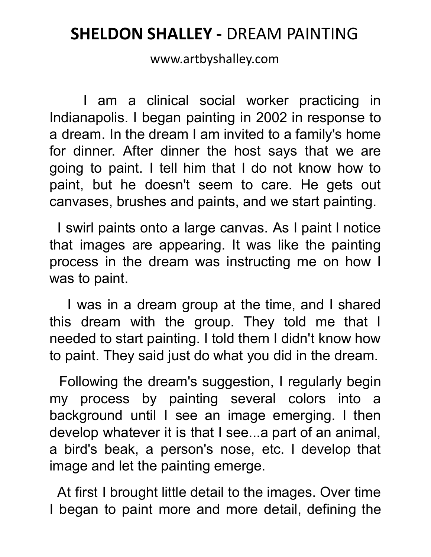## **SHELDON SHALLEY -** DREAM PAINTING

www.artbyshalley.com

I am a clinical social worker practicing in Indianapolis. I began painting in 2002 in response to a dream. In the dream I am invited to a family's home for dinner. After dinner the host says that we are going to paint. I tell him that I do not know how to paint, but he doesn't seem to care. He gets out canvases, brushes and paints, and we start painting.

I swirl paints onto a large canvas. As I paint I notice that images are appearing. It was like the painting process in the dream was instructing me on how I was to paint.

I was in a dream group at the time, and I shared this dream with the group. They told me that I needed to start painting. I told them I didn't know how to paint. They said just do what you did in the dream.

Following the dream's suggestion, I regularly begin my process by painting several colors into a background until I see an image emerging. I then develop whatever it is that I see...a part of an animal, a bird's beak, a person's nose, etc. I develop that image and let the painting emerge.

At first I brought little detail to the images. Over time I began to paint more and more detail, defining the